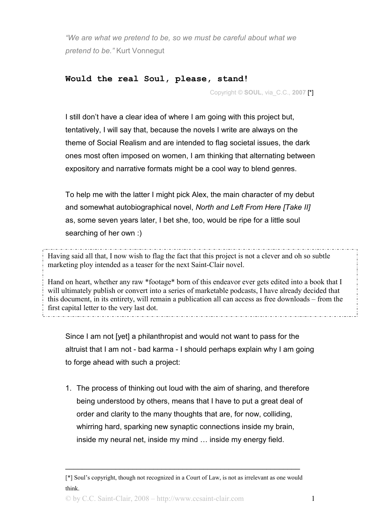*"We are what we pretend to be, so we must be careful about what we pretend to be."* Kurt Vonnegut

## **Would the real Soul, please, stand!**

Copyright © **SOUL**, via\_C.C., **2007** [\*]

I still don't have a clear idea of where I am going with this project but, tentatively, I will say that, because the novels I write are always on the theme of Social Realism and are intended to flag societal issues, the dark ones most often imposed on women, I am thinking that alternating between expository and narrative formats might be a cool way to blend genres.

To help me with the latter I might pick Alex, the main character of my debut and somewhat autobiographical novel, *North and Left From Here [Take II]* as, some seven years later, I bet she, too, would be ripe for a little soul searching of her own :)

Having said all that, I now wish to flag the fact that this project is not a clever and oh so subtle marketing ploy intended as a teaser for the next Saint-Clair novel.

Hand on heart, whether any raw \*footage\* born of this endeavor ever gets edited into a book that I will ultimately publish or convert into a series of marketable podcasts, I have already decided that this document, in its entirety, will remain a publication all can access as free downloads – from the first capital letter to the very last dot.

Since I am not [yet] a philanthropist and would not want to pass for the altruist that I am not - bad karma - I should perhaps explain why I am going to forge ahead with such a project:

1. The process of thinking out loud with the aim of sharing, and therefore being understood by others, means that I have to put a great deal of order and clarity to the many thoughts that are, for now, colliding, whirring hard, sparking new synaptic connections inside my brain, inside my neural net, inside my mind … inside my energy field.

\_\_\_\_\_\_\_\_\_\_\_\_\_\_\_\_\_\_\_\_\_\_\_\_\_\_\_\_\_\_\_\_\_\_\_\_\_\_\_\_\_\_\_\_\_\_\_\_\_\_\_\_\_\_\_\_

<sup>[\*]</sup> Soul's copyright, though not recognized in a Court of Law, is not as irrelevant as one would think.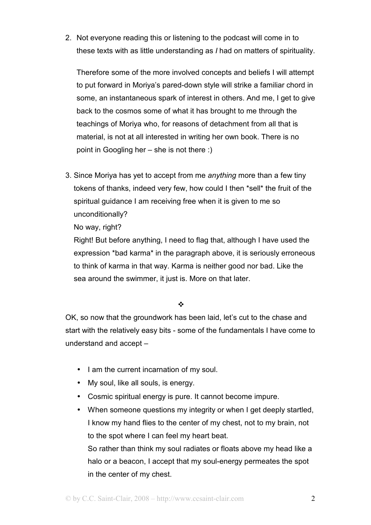2. Not everyone reading this or listening to the podcast will come in to these texts with as little understanding as *I* had on matters of spirituality.

Therefore some of the more involved concepts and beliefs I will attempt to put forward in Moriya's pared-down style will strike a familiar chord in some, an instantaneous spark of interest in others. And me, I get to give back to the cosmos some of what it has brought to me through the teachings of Moriya who, for reasons of detachment from all that is material, is not at all interested in writing her own book. There is no point in Googling her – she is not there :)

3. Since Moriya has yet to accept from me *anything* more than a few tiny tokens of thanks, indeed very few, how could I then \*sell\* the fruit of the spiritual guidance I am receiving free when it is given to me so unconditionally?

No way, right?

Right! But before anything, I need to flag that, although I have used the expression \*bad karma\* in the paragraph above, it is seriously erroneous to think of karma in that way. Karma is neither good nor bad. Like the sea around the swimmer, it just is. More on that later.

 $\frac{1}{2}$ 

OK, so now that the groundwork has been laid, let's cut to the chase and start with the relatively easy bits - some of the fundamentals I have come to understand and accept –

- I am the current incarnation of my soul.
- My soul, like all souls, is energy.
- Cosmic spiritual energy is pure. It cannot become impure.
- When someone questions my integrity or when I get deeply startled, I know my hand flies to the center of my chest, not to my brain, not to the spot where I can feel my heart beat. So rather than think my soul radiates or floats above my head like a halo or a beacon, I accept that my soul-energy permeates the spot in the center of my chest.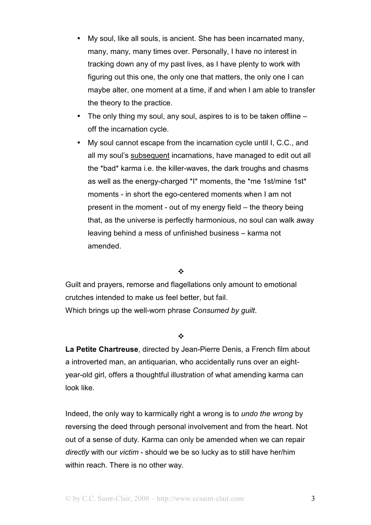- My soul, like all souls, is ancient. She has been incarnated many, many, many, many times over. Personally, I have no interest in tracking down any of my past lives, as I have plenty to work with figuring out this one, the only one that matters, the only one I can maybe alter, one moment at a time, if and when I am able to transfer the theory to the practice.
- The only thing my soul, any soul, aspires to is to be taken offline off the incarnation cycle.
- My soul cannot escape from the incarnation cycle until I, C.C., and all my soul's subsequent incarnations, have managed to edit out all the \*bad\* karma i.e. the killer-waves, the dark troughs and chasms as well as the energy-charged \*I\* moments, the \*me 1st/mine 1st\* moments - in short the ego-centered moments when I am not present in the moment - out of my energy field – the theory being that, as the universe is perfectly harmonious, no soul can walk away leaving behind a mess of unfinished business – karma not amended.

### $\frac{1}{2}$

Guilt and prayers, remorse and flagellations only amount to emotional crutches intended to make us feel better, but fail. Which brings up the well-worn phrase *Consumed by guilt*.

## $\bullet^*$

**La Petite Chartreuse**, directed by Jean-Pierre Denis, a French film about a introverted man, an antiquarian, who accidentally runs over an eightyear-old girl, offers a thoughtful illustration of what amending karma can look like.

Indeed, the only way to karmically right a wrong is to *undo the wrong* by reversing the deed through personal involvement and from the heart. Not out of a sense of duty. Karma can only be amended when we can repair *directly* with our *victim* - should we be so lucky as to still have her/him within reach. There is no other way.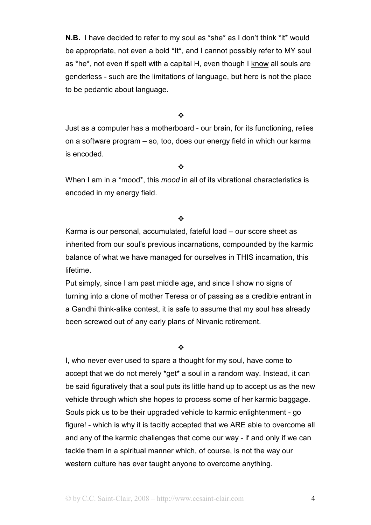**N.B.** I have decided to refer to my soul as \*she\* as I don't think \*it\* would be appropriate, not even a bold \*It\*, and I cannot possibly refer to MY soul as \*he\*, not even if spelt with a capital H, even though I know all souls are genderless - such are the limitations of language, but here is not the place to be pedantic about language.

 $\frac{1}{2}$ 

Just as a computer has a motherboard - our brain, for its functioning, relies on a software program – so, too, does our energy field in which our karma is encoded.

 $\frac{1}{2}$ 

When I am in a \*mood\*, this *mood* in all of its vibrational characteristics is encoded in my energy field.

### $\bullet^*$

Karma is our personal, accumulated, fateful load – our score sheet as inherited from our soul's previous incarnations, compounded by the karmic balance of what we have managed for ourselves in THIS incarnation, this lifetime.

Put simply, since I am past middle age, and since I show no signs of turning into a clone of mother Teresa or of passing as a credible entrant in a Gandhi think-alike contest, it is safe to assume that my soul has already been screwed out of any early plans of Nirvanic retirement.

### $\frac{1}{2}$

I, who never ever used to spare a thought for my soul, have come to accept that we do not merely \*get\* a soul in a random way. Instead, it can be said figuratively that a soul puts its little hand up to accept us as the new vehicle through which she hopes to process some of her karmic baggage. Souls pick us to be their upgraded vehicle to karmic enlightenment - go figure! - which is why it is tacitly accepted that we ARE able to overcome all and any of the karmic challenges that come our way - if and only if we can tackle them in a spiritual manner which, of course, is not the way our western culture has ever taught anyone to overcome anything.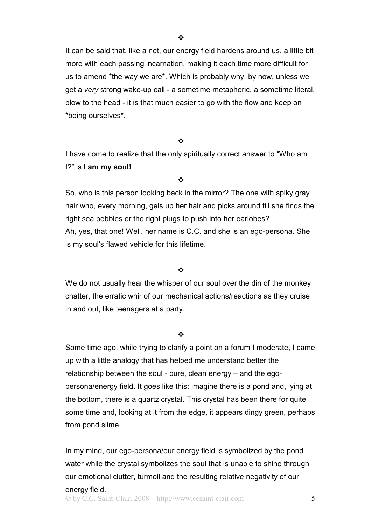It can be said that, like a net, our energy field hardens around us, a little bit more with each passing incarnation, making it each time more difficult for us to amend \*the way we are\*. Which is probably why, by now, unless we get a *very* strong wake-up call - a sometime metaphoric, a sometime literal, blow to the head - it is that much easier to go with the flow and keep on \*being ourselves\*.

#### $\frac{1}{2}$

I have come to realize that the only spiritually correct answer to "Who am I?" is **I am my soul!** 

#### $\frac{1}{2}$

So, who is this person looking back in the mirror? The one with spiky gray hair who, every morning, gels up her hair and picks around till she finds the right sea pebbles or the right plugs to push into her earlobes? Ah, yes, that one! Well, her name is C.C. and she is an ego-persona. She is my soul's flawed vehicle for this lifetime.

### $\frac{1}{2}$

We do not usually hear the whisper of our soul over the din of the monkey chatter, the erratic whir of our mechanical actions/reactions as they cruise in and out, like teenagers at a party.

### $\frac{1}{2}$

Some time ago, while trying to clarify a point on a forum I moderate, I came up with a little analogy that has helped me understand better the relationship between the soul - pure, clean energy – and the egopersona/energy field. It goes like this: imagine there is a pond and, lying at the bottom, there is a quartz crystal. This crystal has been there for quite some time and, looking at it from the edge, it appears dingy green, perhaps from pond slime.

In my mind, our ego-persona/our energy field is symbolized by the pond water while the crystal symbolizes the soul that is unable to shine through our emotional clutter, turmoil and the resulting relative negativity of our energy field.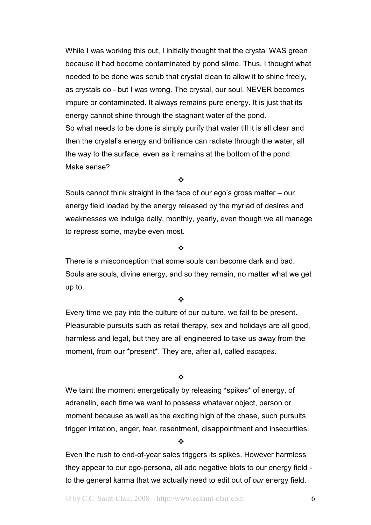While I was working this out, I initially thought that the crystal WAS green because it had become contaminated by pond slime. Thus, I thought what needed to be done was scrub that crystal clean to allow it to shine freely, as crystals do - but I was wrong. The crystal, our soul, NEVER becomes impure or contaminated. It always remains pure energy. It is just that its energy cannot shine through the stagnant water of the pond. So what needs to be done is simply purify that water till it is all clear and then the crystal's energy and brilliance can radiate through the water, all the way to the surface, even as it remains at the bottom of the pond. Make sense?

 $\frac{1}{2}$ 

Souls cannot think straight in the face of our ego's gross matter – our energy field loaded by the energy released by the myriad of desires and weaknesses we indulge daily, monthly, yearly, even though we all manage to repress some, maybe even most.

 $\mathbf{r}$ 

There is a misconception that some souls can become dark and bad. Souls are souls, divine energy, and so they remain, no matter what we get up to.

 $\frac{1}{2}$ 

Every time we pay into the culture of our culture, we fail to be present. Pleasurable pursuits such as retail therapy, sex and holidays are all good, harmless and legal, but they are all engineered to take us away from the moment, from our \*present\*. They are, after all, called *escapes*.

 $\frac{1}{2}$ 

We taint the moment energetically by releasing \*spikes\* of energy, of adrenalin, each time we want to possess whatever object, person or moment because as well as the exciting high of the chase, such pursuits trigger irritation, anger, fear, resentment, disappointment and insecurities.

## ❖

Even the rush to end-of-year sales triggers its spikes. However harmless they appear to our ego-persona, all add negative blots to our energy field to the general karma that we actually need to edit out of *our* energy field.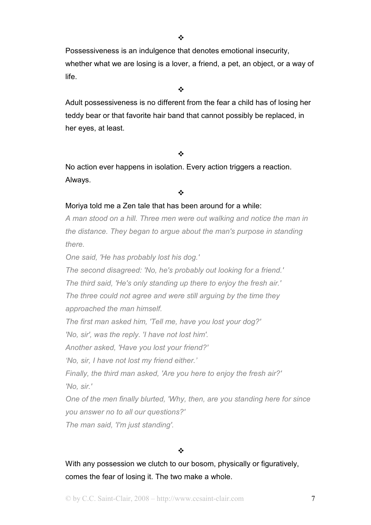Possessiveness is an indulgence that denotes emotional insecurity, whether what we are losing is a lover, a friend, a pet, an object, or a way of life.

 $\cdot$ 

Adult possessiveness is no different from the fear a child has of losing her teddy bear or that favorite hair band that cannot possibly be replaced, in her eyes, at least.

## $\frac{1}{2}$

No action ever happens in isolation. Every action triggers a reaction. Always.

### $\frac{1}{2}$

## Moriya told me a Zen tale that has been around for a while:

*A man stood on a hill. Three men were out walking and notice the man in the distance. They began to argue about the man's purpose in standing there.* 

*One said, 'He has probably lost his dog.'* 

*The second disagreed: 'No, he's probably out looking for a friend.'* 

*The third said, 'He's only standing up there to enjoy the fresh air.'* 

*The three could not agree and were still arguing by the time they approached the man himself.* 

*The first man asked him, 'Tell me, have you lost your dog?'* 

*'No, sir', was the reply. 'I have not lost him'.* 

*Another asked, 'Have you lost your friend?'* 

*'No, sir, I have not lost my friend either.'* 

*Finally, the third man asked, 'Are you here to enjoy the fresh air?' 'No, sir.'* 

*One of the men finally blurted, 'Why, then, are you standing here for since you answer no to all our questions?'* 

*The man said, 'I'm just standing'.* 

## $\ddot{\bullet}$

With any possession we clutch to our bosom, physically or figuratively, comes the fear of losing it. The two make a whole.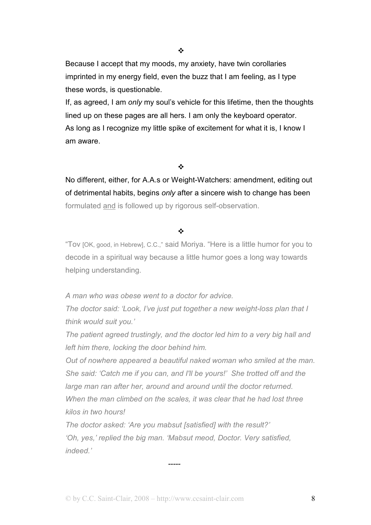$\frac{1}{2}$ 

Because I accept that my moods, my anxiety, have twin corollaries imprinted in my energy field, even the buzz that I am feeling, as I type these words, is questionable.

If, as agreed, I am *only* my soul's vehicle for this lifetime, then the thoughts lined up on these pages are all hers. I am only the keyboard operator. As long as I recognize my little spike of excitement for what it is, I know I am aware.

### $\frac{1}{2}$

No different, either, for A.A.s or Weight-Watchers: amendment, editing out of detrimental habits, begins *only* after a sincere wish to change has been formulated and is followed up by rigorous self-observation.

## $\mathbf{r}$

"Tov [OK, good, in Hebrew], C.C.," said Moriya. "Here is a little humor for you to decode in a spiritual way because a little humor goes a long way towards helping understanding.

*A man who was obese went to a doctor for advice.* 

*The doctor said: 'Look, I've just put together a new weight-loss plan that I think would suit you.'* 

*The patient agreed trustingly, and the doctor led him to a very big hall and left him there, locking the door behind him.* 

*Out of nowhere appeared a beautiful naked woman who smiled at the man. She said: 'Catch me if you can, and I'll be yours!' She trotted off and the large man ran after her, around and around until the doctor returned. When the man climbed on the scales, it was clear that he had lost three kilos in two hours!* 

*The doctor asked: 'Are you mabsut [satisfied] with the result?' 'Oh, yes,' replied the big man. 'Mabsut meod, Doctor. Very satisfied, indeed.'* 

*-----*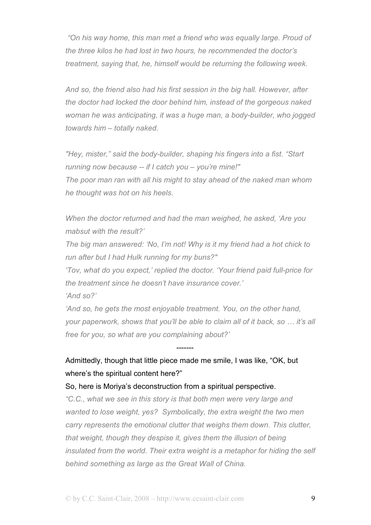*"On his way home, this man met a friend who was equally large. Proud of the three kilos he had lost in two hours, he recommended the doctor's treatment, saying that, he, himself would be returning the following week.* 

*And so, the friend also had his first session in the big hall. However, after the doctor had locked the door behind him, instead of the gorgeous naked woman he was anticipating, it was a huge man, a body-builder, who jogged towards him – totally naked.* 

*"Hey, mister," said the body-builder, shaping his fingers into a fist. "Start running now because -- if I catch you – you're mine!" The poor man ran with all his might to stay ahead of the naked man whom he thought was hot on his heels.* 

*When the doctor returned and had the man weighed, he asked, 'Are you mabsut with the result?'* 

*The big man answered: 'No, I'm not! Why is it my friend had a hot chick to run after but I had Hulk running for my buns?"* 

*'Tov, what do you expect,' replied the doctor. 'Your friend paid full-price for the treatment since he doesn't have insurance cover.'* 

*'And so?'* 

*'And so, he gets the most enjoyable treatment. You, on the other hand, your paperwork, shows that you'll be able to claim all of it back, so … it's all free for you, so what are you complaining about?'* 

## Admittedly, though that little piece made me smile, I was like, "OK, but where's the spiritual content here?"

-------

## So, here is Moriya's deconstruction from a spiritual perspective.

*"C.C., what we see in this story is that both men were very large and wanted to lose weight, yes? Symbolically, the extra weight the two men carry represents the emotional clutter that weighs them down. This clutter, that weight, though they despise it, gives them the illusion of being insulated from the world. Their extra weight is a metaphor for hiding the self behind something as large as the Great Wall of China.*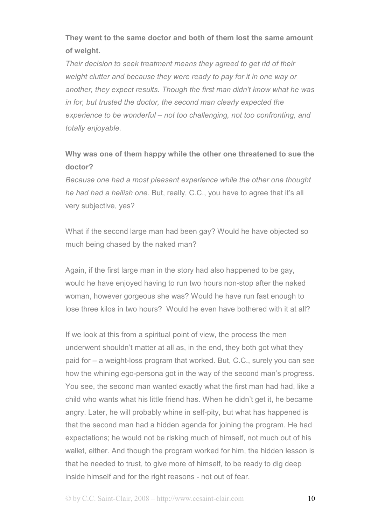# **They went to the same doctor and both of them lost the same amount of weight.**

*Their decision to seek treatment means they agreed to get rid of their weight clutter and because they were ready to pay for it in one way or another, they expect results. Though the first man didn't know what he was in for, but trusted the doctor, the second man clearly expected the experience to be wonderful – not too challenging, not too confronting, and totally enjoyable.* 

# **Why was one of them happy while the other one threatened to sue the doctor?**

*Because one had a most pleasant experience while the other one thought he had had a hellish one.* But, really, C.C., you have to agree that it's all very subjective, yes?

What if the second large man had been gay? Would he have objected so much being chased by the naked man?

Again, if the first large man in the story had also happened to be gay, would he have enjoyed having to run two hours non-stop after the naked woman, however gorgeous she was? Would he have run fast enough to lose three kilos in two hours? Would he even have bothered with it at all?

If we look at this from a spiritual point of view, the process the men underwent shouldn't matter at all as, in the end, they both got what they paid for – a weight-loss program that worked. But, C.C., surely you can see how the whining ego-persona got in the way of the second man's progress. You see, the second man wanted exactly what the first man had had, like a child who wants what his little friend has. When he didn't get it, he became angry. Later, he will probably whine in self-pity, but what has happened is that the second man had a hidden agenda for joining the program. He had expectations; he would not be risking much of himself, not much out of his wallet, either. And though the program worked for him, the hidden lesson is that he needed to trust, to give more of himself, to be ready to dig deep inside himself and for the right reasons - not out of fear.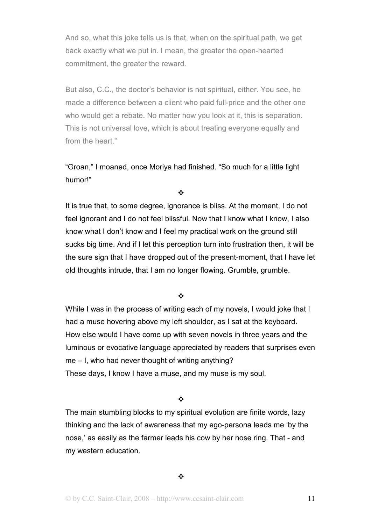And so, what this joke tells us is that, when on the spiritual path, we get back exactly what we put in. I mean, the greater the open-hearted commitment, the greater the reward.

But also, C.C., the doctor's behavior is not spiritual, either. You see, he made a difference between a client who paid full-price and the other one who would get a rebate. No matter how you look at it, this is separation. This is not universal love, which is about treating everyone equally and from the heart."

"Groan," I moaned, once Moriya had finished. "So much for a little light humor!"

 $\frac{1}{2}$ 

It is true that, to some degree, ignorance is bliss. At the moment, I do not feel ignorant and I do not feel blissful. Now that I know what I know, I also know what I don't know and I feel my practical work on the ground still sucks big time. And if I let this perception turn into frustration then, it will be the sure sign that I have dropped out of the present-moment, that I have let old thoughts intrude, that I am no longer flowing. Grumble, grumble.

÷

While I was in the process of writing each of my novels, I would joke that I had a muse hovering above my left shoulder, as I sat at the keyboard. How else would I have come up with seven novels in three years and the luminous or evocative language appreciated by readers that surprises even me – I, who had never thought of writing anything? These days, I know I have a muse, and my muse is my soul.

 $\mathbf{r}$ 

The main stumbling blocks to my spiritual evolution are finite words, lazy thinking and the lack of awareness that my ego-persona leads me 'by the nose,' as easily as the farmer leads his cow by her nose ring. That - and my western education.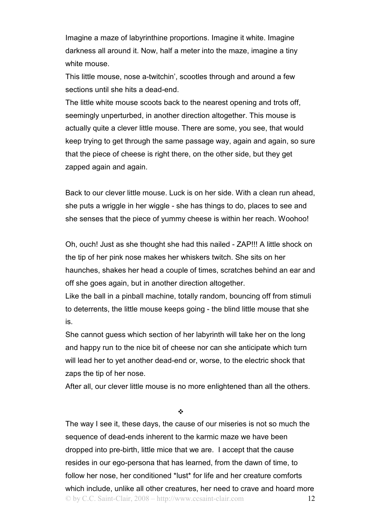Imagine a maze of labyrinthine proportions. Imagine it white. Imagine darkness all around it. Now, half a meter into the maze, imagine a tiny white mouse.

This little mouse, nose a-twitchin', scootles through and around a few sections until she hits a dead-end.

The little white mouse scoots back to the nearest opening and trots off, seemingly unperturbed, in another direction altogether. This mouse is actually quite a clever little mouse. There are some, you see, that would keep trying to get through the same passage way, again and again, so sure that the piece of cheese is right there, on the other side, but they get zapped again and again.

Back to our clever little mouse. Luck is on her side. With a clean run ahead, she puts a wriggle in her wiggle - she has things to do, places to see and she senses that the piece of yummy cheese is within her reach. Woohoo!

Oh, ouch! Just as she thought she had this nailed - ZAP!!! A little shock on the tip of her pink nose makes her whiskers twitch. She sits on her haunches, shakes her head a couple of times, scratches behind an ear and off she goes again, but in another direction altogether.

Like the ball in a pinball machine, totally random, bouncing off from stimuli to deterrents, the little mouse keeps going - the blind little mouse that she is.

She cannot guess which section of her labyrinth will take her on the long and happy run to the nice bit of cheese nor can she anticipate which turn will lead her to yet another dead-end or, worse, to the electric shock that zaps the tip of her nose.

After all, our clever little mouse is no more enlightened than all the others.

❖

© by C.C. Saint-Clair, 2008 – http://www.ccsaint-clair.com 12 The way I see it, these days, the cause of our miseries is not so much the sequence of dead-ends inherent to the karmic maze we have been dropped into pre-birth, little mice that we are. I accept that the cause resides in our ego-persona that has learned, from the dawn of time, to follow her nose, her conditioned \*lust\* for life and her creature comforts which include, unlike all other creatures, her need to crave and hoard more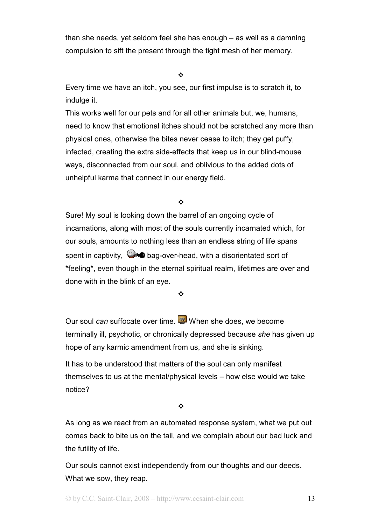than she needs, yet seldom feel she has enough – as well as a damning compulsion to sift the present through the tight mesh of her memory.

 $\frac{1}{2}$ 

Every time we have an itch, you see, our first impulse is to scratch it, to indulge it.

This works well for our pets and for all other animals but, we, humans, need to know that emotional itches should not be scratched any more than physical ones, otherwise the bites never cease to itch; they get puffy, infected, creating the extra side-effects that keep us in our blind-mouse ways, disconnected from our soul, and oblivious to the added dots of unhelpful karma that connect in our energy field.

 $\frac{1}{2}$ 

Sure! My soul is looking down the barrel of an ongoing cycle of incarnations, along with most of the souls currently incarnated which, for our souls, amounts to nothing less than an endless string of life spans spent in captivity,  $\bigcirc$  bag-over-head, with a disorientated sort of \*feeling\*, even though in the eternal spiritual realm, lifetimes are over and done with in the blink of an eye.

 $\frac{1}{2}$ 

Our soul *can* suffocate over time. When she does, we become terminally ill, psychotic, or chronically depressed because *she* has given up hope of any karmic amendment from us, and she is sinking.

It has to be understood that matters of the soul can only manifest themselves to us at the mental/physical levels – how else would we take notice?

 $\frac{1}{2}$ 

As long as we react from an automated response system, what we put out comes back to bite us on the tail, and we complain about our bad luck and the futility of life.

Our souls cannot exist independently from our thoughts and our deeds. What we sow, they reap.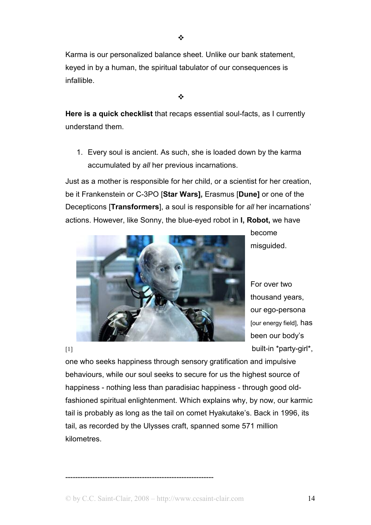------------------------------------------------------------

Karma is our personalized balance sheet. Unlike our bank statement, keyed in by a human, the spiritual tabulator of our consequences is infallible.

 $\frac{1}{2}$ 

**Here is a quick checklist** that recaps essential soul-facts, as I currently understand them.

1. Every soul is ancient. As such, she is loaded down by the karma accumulated by *all* her previous incarnations.

Just as a mother is responsible for her child, or a scientist for her creation, be it Frankenstein or C-3PO [**Star Wars],** Erasmus [**Dune]** or one of the Decepticons [**Transformers**], a soul is responsible for *all* her incarnations' actions. However, like Sonny, the blue-eyed robot in **I, Robot,** we have

> For over two thousand years, our ego-persona

become

misguided.

[our energy field], has been our body's [1] built-in \*party-girl\*, one who seeks happiness through sensory gratification and impulsive behaviours, while our soul seeks to secure for us the highest source of

happiness - nothing less than paradisiac happiness - through good oldfashioned spiritual enlightenment. Which explains why, by now, our karmic tail is probably as long as the tail on comet Hyakutake's. Back in 1996, its tail, as recorded by the Ulysses craft, spanned some 571 million kilometres.

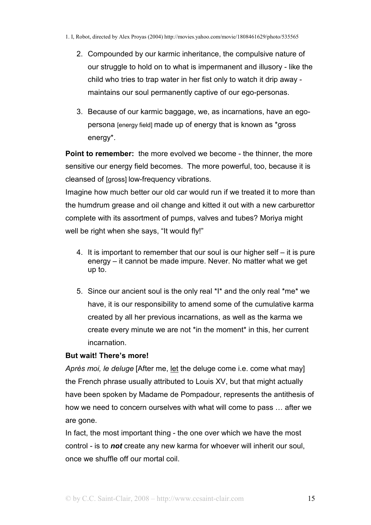- 2. Compounded by our karmic inheritance, the compulsive nature of our struggle to hold on to what is impermanent and illusory - like the child who tries to trap water in her fist only to watch it drip away maintains our soul permanently captive of our ego-personas.
- 3. Because of our karmic baggage, we, as incarnations, have an egopersona [energy field] made up of energy that is known as \*gross energy\*.

**Point to remember:** the more evolved we become - the thinner, the more sensitive our energy field becomes. The more powerful, too, because it is cleansed of [gross] low-frequency vibrations.

Imagine how much better our old car would run if we treated it to more than the humdrum grease and oil change and kitted it out with a new carburettor complete with its assortment of pumps, valves and tubes? Moriya might well be right when she says, "It would fly!"

- 4. It is important to remember that our soul is our higher self it is pure energy – it cannot be made impure. Never. No matter what we get up to.
- 5. Since our ancient soul is the only real \*I\* and the only real \*me\* we have, it is our responsibility to amend some of the cumulative karma created by all her previous incarnations, as well as the karma we create every minute we are not \*in the moment\* in this, her current incarnation.

## **But wait! There's more!**

*Après moi, le deluge* [After me, let the deluge come i.e. come what may] the French phrase usually attributed to Louis XV, but that might actually have been spoken by Madame de Pompadour, represents the antithesis of how we need to concern ourselves with what will come to pass … after we are gone.

In fact, the most important thing - the one over which we have the most control - is to *not* create any new karma for whoever will inherit our soul, once we shuffle off our mortal coil.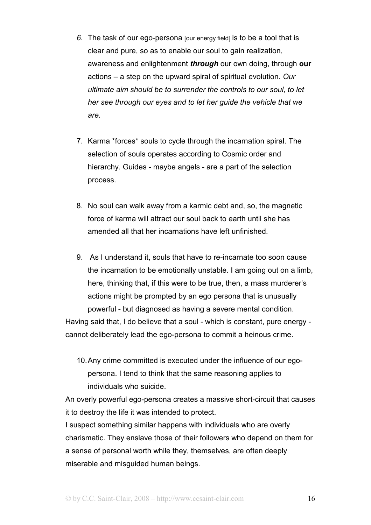- *6.* The task of our ego-persona [our energy field] is to be a tool that is clear and pure, so as to enable our soul to gain realization, awareness and enlightenment *through* our own doing, through **our** actions – a step on the upward spiral of spiritual evolution. *Our ultimate aim should be to surrender the controls to our soul, to let her see through our eyes and to let her guide the vehicle that we are.*
- 7. Karma \*forces\* souls to cycle through the incarnation spiral. The selection of souls operates according to Cosmic order and hierarchy. Guides - maybe angels - are a part of the selection process.
- 8. No soul can walk away from a karmic debt and, so, the magnetic force of karma will attract our soul back to earth until she has amended all that her incarnations have left unfinished.
- 9. As I understand it, souls that have to re-incarnate too soon cause the incarnation to be emotionally unstable. I am going out on a limb, here, thinking that, if this were to be true, then, a mass murderer's actions might be prompted by an ego persona that is unusually powerful - but diagnosed as having a severe mental condition.

Having said that, I do believe that a soul - which is constant, pure energy cannot deliberately lead the ego-persona to commit a heinous crime.

10. Any crime committed is executed under the influence of our egopersona. I tend to think that the same reasoning applies to individuals who suicide.

An overly powerful ego-persona creates a massive short-circuit that causes it to destroy the life it was intended to protect.

I suspect something similar happens with individuals who are overly charismatic. They enslave those of their followers who depend on them for a sense of personal worth while they, themselves, are often deeply miserable and misguided human beings.